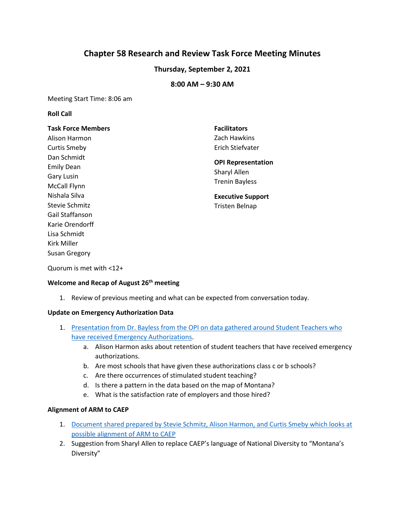# **Chapter 58 Research and Review Task Force Meeting Minutes**

## **Thursday, September 2, 2021**

## **8:00 AM – 9:30 AM**

Meeting Start Time: 8:06 am

#### **Roll Call**

# **Task Force Members**  Alison Harmon Curtis Smeby Dan Schmidt Emily Dean Gary Lusin McCall Flynn Nishala Silva Stevie Schmitz Gail Staffanson Karie Orendorff Lisa Schmidt Kirk Miller Susan Gregory

**Facilitators**  Zach Hawkins Erich Stiefvater

# **OPI Representation**  Sharyl Allen Trenin Bayless

**Executive Support**  Tristen Belnap

Quorum is met with <12+

#### **Welcome and Recap of August 26th meeting**

1. Review of previous meeting and what can be expected from conversation today.

#### **Update on Emergency Authorization Data**

- 1. Presentation from Dr. Bayless from the OPI on data gathered around Student Teachers who [have received Emergency Authorizations.](https://drive.google.com/file/d/1DzOYTYFweuy4GVOThXLfsQaEIZOJHxfd/view?usp=sharing)
	- a. Alison Harmon asks about retention of student teachers that have received emergency authorizations.
	- b. Are most schools that have given these authorizations class c or b schools?
	- c. Are there occurrences of stimulated student teaching?
	- d. Is there a pattern in the data based on the map of Montana?
	- e. What is the satisfaction rate of employers and those hired?

## **Alignment of ARM to CAEP**

- 1. [Document shared prepared by Stevie Schmitz, Alison Harmon, and Curtis Smeby](https://drive.google.com/file/d/162Rsy5K-XWdSoqwMKKBh89xFYi1tLDHu/view?usp=sharing) which looks at [possible alignment of ARM to CAEP](https://drive.google.com/file/d/162Rsy5K-XWdSoqwMKKBh89xFYi1tLDHu/view?usp=sharing)
- 2. Suggestion from Sharyl Allen to replace CAEP's language of National Diversity to "Montana's Diversity"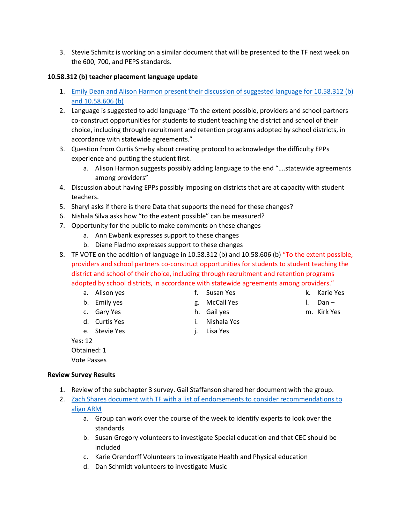3. Stevie Schmitz is working on a similar document that will be presented to the TF next week on the 600, 700, and PEPS standards.

### **10.58.312 (b) teacher placement language update**

- 1. [Emily Dean and Alison Harmon present their discussion of suggested language for 10.58.312 \(b\)](https://drive.google.com/file/d/162Rsy5K-XWdSoqwMKKBh89xFYi1tLDHu/view?usp=sharing)  [and 10.58.606 \(b\)](https://drive.google.com/file/d/162Rsy5K-XWdSoqwMKKBh89xFYi1tLDHu/view?usp=sharing)
- 2. Language is suggested to add language "To the extent possible, providers and school partners co-construct opportunities for students to student teaching the district and school of their choice, including through recruitment and retention programs adopted by school districts, in accordance with statewide agreements."
- 3. Question from Curtis Smeby about creating protocol to acknowledge the difficulty EPPs experience and putting the student first.
	- a. Alison Harmon suggests possibly adding language to the end "….statewide agreements among providers"
- 4. Discussion about having EPPs possibly imposing on districts that are at capacity with student teachers.
- 5. Sharyl asks if there is there Data that supports the need for these changes?
- 6. Nishala Silva asks how "to the extent possible" can be measured?
- 7. Opportunity for the public to make comments on these changes
	- a. Ann Ewbank expresses support to these changes
	- b. Diane Fladmo expresses support to these changes
- 8. TF VOTE on the addition of language in 10.58.312 (b) and 10.58.606 (b) "To the extent possible, providers and school partners co-construct opportunities for students to student teaching the district and school of their choice, including through recruitment and retention programs adopted by school districts, in accordance with statewide agreements among providers."
	- a. Alison yes
	- b. Emily yes
	- c. Gary Yes
	- d. Curtis Yes
	- e. Stevie Yes
	- Yes: 12

Obtained: 1 Vote Passes

#### **Review Survey Results**

- 1. Review of the subchapter 3 survey. Gail Staffanson shared her document with the group.
- 2. Zach Shares document [with TF with a list of endorsements to consider recommendations to](https://docs.google.com/document/d/1H5DRvlEzIJgq9tZshdxDy54ckjVluyWL/edit?usp=sharing&ouid=103980653118195900680&rtpof=true&sd=true)  [align ARM](https://docs.google.com/document/d/1H5DRvlEzIJgq9tZshdxDy54ckjVluyWL/edit?usp=sharing&ouid=103980653118195900680&rtpof=true&sd=true)
	- a. Group can work over the course of the week to identify experts to look over the standards
	- b. Susan Gregory volunteers to investigate Special education and that CEC should be included
	- c. Karie Orendorff Volunteers to investigate Health and Physical education
	- d. Dan Schmidt volunteers to investigate Music
- k. Karie Yes
- l. Dan –
- m. Kirk Yes
- g. McCall Yes h. Gail yes
- i. Nishala Yes

f. Susan Yes

- j. Lisa Yes
- 
- 
- -
-